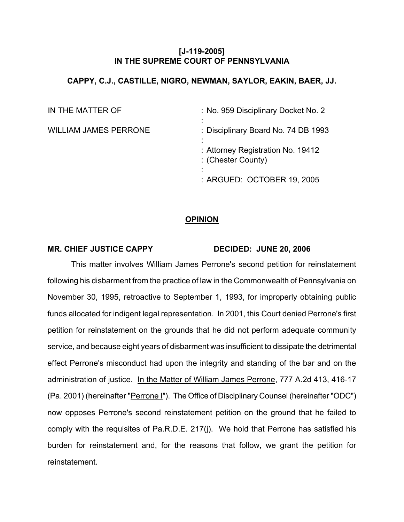### **[J-119-2005] IN THE SUPREME COURT OF PENNSYLVANIA**

### **CAPPY, C.J., CASTILLE, NIGRO, NEWMAN, SAYLOR, EAKIN, BAER, JJ.**

| IN THE MATTER OF             | : No. 959 Disciplinary Docket No. 2                     |
|------------------------------|---------------------------------------------------------|
| <b>WILLIAM JAMES PERRONE</b> | : Disciplinary Board No. 74 DB 1993                     |
|                              | : Attorney Registration No. 19412<br>: (Chester County) |
|                              | : ARGUED: OCTOBER 19, 2005                              |

### **OPINION**

#### **MR. CHIEF JUSTICE CAPPY DECIDED: JUNE 20, 2006**

This matter involves William James Perrone's second petition for reinstatement following his disbarment from the practice of law in the Commonwealth of Pennsylvania on November 30, 1995, retroactive to September 1, 1993, for improperly obtaining public funds allocated for indigent legal representation. In 2001, this Court denied Perrone's first petition for reinstatement on the grounds that he did not perform adequate community service, and because eight years of disbarment was insufficient to dissipate the detrimental effect Perrone's misconduct had upon the integrity and standing of the bar and on the administration of justice. In the Matter of William James Perrone, 777 A.2d 413, 416-17 (Pa. 2001) (hereinafter "Perrone I"). The Office of Disciplinary Counsel (hereinafter "ODC") now opposes Perrone's second reinstatement petition on the ground that he failed to comply with the requisites of Pa.R.D.E. 217(j). We hold that Perrone has satisfied his burden for reinstatement and, for the reasons that follow, we grant the petition for reinstatement.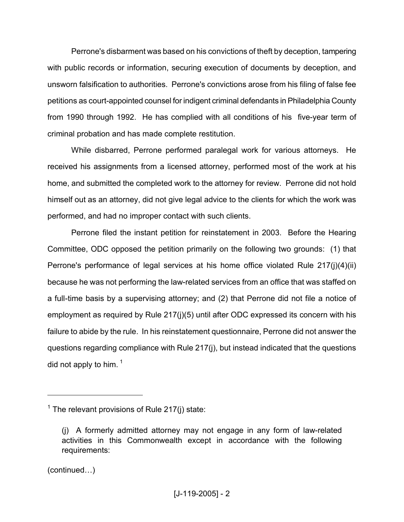Perrone's disbarment was based on his convictions of theft by deception, tampering with public records or information, securing execution of documents by deception, and unsworn falsification to authorities. Perrone's convictions arose from his filing of false fee petitions as court-appointed counsel for indigent criminal defendants in Philadelphia County from 1990 through 1992. He has complied with all conditions of his five-year term of criminal probation and has made complete restitution.

While disbarred, Perrone performed paralegal work for various attorneys. He received his assignments from a licensed attorney, performed most of the work at his home, and submitted the completed work to the attorney for review. Perrone did not hold himself out as an attorney, did not give legal advice to the clients for which the work was performed, and had no improper contact with such clients.

Perrone filed the instant petition for reinstatement in 2003. Before the Hearing Committee, ODC opposed the petition primarily on the following two grounds: (1) that Perrone's performance of legal services at his home office violated Rule 217(j)(4)(ii) because he was not performing the law-related services from an office that was staffed on a full-time basis by a supervising attorney; and (2) that Perrone did not file a notice of employment as required by Rule 217(j)(5) until after ODC expressed its concern with his failure to abide by the rule. In his reinstatement questionnaire, Perrone did not answer the questions regarding compliance with Rule 217(j), but instead indicated that the questions did not apply to him.<sup>1</sup>

(continued…)

 $1$  The relevant provisions of Rule 217(j) state:

<sup>(</sup>j) A formerly admitted attorney may not engage in any form of law-related activities in this Commonwealth except in accordance with the following requirements: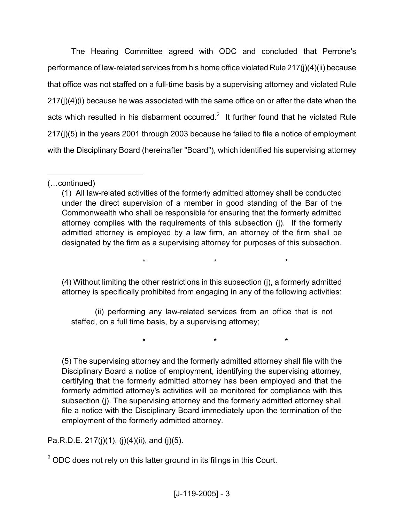The Hearing Committee agreed with ODC and concluded that Perrone's performance of law-related services from his home office violated Rule 217(j)(4)(ii) because that office was not staffed on a full-time basis by a supervising attorney and violated Rule 217(j)(4)(i) because he was associated with the same office on or after the date when the acts which resulted in his disbarment occurred.<sup>2</sup> It further found that he violated Rule 217(j)(5) in the years 2001 through 2003 because he failed to file a notice of employment with the Disciplinary Board (hereinafter "Board"), which identified his supervising attorney

(4) Without limiting the other restrictions in this subsection (j), a formerly admitted attorney is specifically prohibited from engaging in any of the following activities:

\* \* \*

\* \* \*

(ii) performing any law-related services from an office that is not staffed, on a full time basis, by a supervising attorney;

(5) The supervising attorney and the formerly admitted attorney shall file with the Disciplinary Board a notice of employment, identifying the supervising attorney, certifying that the formerly admitted attorney has been employed and that the formerly admitted attorney's activities will be monitored for compliance with this subsection (j). The supervising attorney and the formerly admitted attorney shall file a notice with the Disciplinary Board immediately upon the termination of the employment of the formerly admitted attorney.

Pa.R.D.E. 217(j)(1), (j)(4)(ii), and (j)(5).

 $2$  ODC does not rely on this latter ground in its filings in this Court.

<sup>(…</sup>continued)

<sup>(1)</sup> All law-related activities of the formerly admitted attorney shall be conducted under the direct supervision of a member in good standing of the Bar of the Commonwealth who shall be responsible for ensuring that the formerly admitted attorney complies with the requirements of this subsection (j). If the formerly admitted attorney is employed by a law firm, an attorney of the firm shall be designated by the firm as a supervising attorney for purposes of this subsection.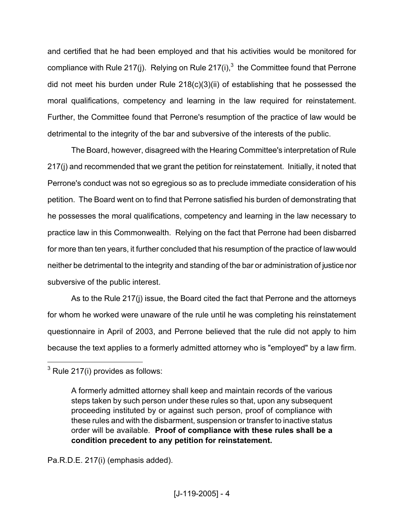and certified that he had been employed and that his activities would be monitored for compliance with Rule 217(j). Relying on Rule 217(i),<sup>3</sup> the Committee found that Perrone did not meet his burden under Rule 218(c)(3)(ii) of establishing that he possessed the moral qualifications, competency and learning in the law required for reinstatement. Further, the Committee found that Perrone's resumption of the practice of law would be detrimental to the integrity of the bar and subversive of the interests of the public.

The Board, however, disagreed with the Hearing Committee's interpretation of Rule 217(j) and recommended that we grant the petition for reinstatement. Initially, it noted that Perrone's conduct was not so egregious so as to preclude immediate consideration of his petition. The Board went on to find that Perrone satisfied his burden of demonstrating that he possesses the moral qualifications, competency and learning in the law necessary to practice law in this Commonwealth. Relying on the fact that Perrone had been disbarred for more than ten years, it further concluded that his resumption of the practice of lawwould neither be detrimental to the integrity and standing of the bar or administration of justice nor subversive of the public interest.

As to the Rule 217(j) issue, the Board cited the fact that Perrone and the attorneys for whom he worked were unaware of the rule until he was completing his reinstatement questionnaire in April of 2003, and Perrone believed that the rule did not apply to him because the text applies to a formerly admitted attorney who is "employed" by a law firm.

Pa.R.D.E. 217(i) (emphasis added).

 $3$  Rule 217(i) provides as follows:

A formerly admitted attorney shall keep and maintain records of the various steps taken by such person under these rules so that, upon any subsequent proceeding instituted by or against such person, proof of compliance with these rules and with the disbarment, suspension or transfer to inactive status order will be available. **Proof of compliance with these rules shall be a condition precedent to any petition for reinstatement.**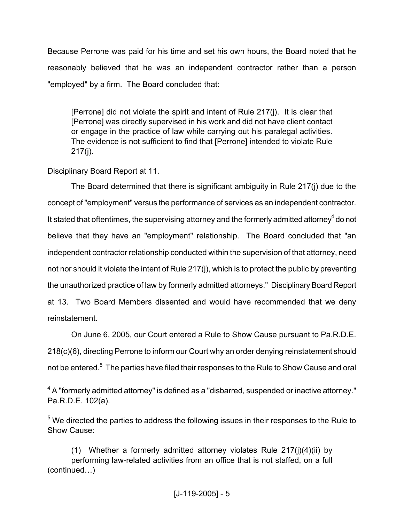Because Perrone was paid for his time and set his own hours, the Board noted that he reasonably believed that he was an independent contractor rather than a person "employed" by a firm. The Board concluded that:

[Perrone] did not violate the spirit and intent of Rule 217(j). It is clear that [Perrone] was directly supervised in his work and did not have client contact or engage in the practice of law while carrying out his paralegal activities. The evidence is not sufficient to find that [Perrone] intended to violate Rule 217(j).

Disciplinary Board Report at 11.

The Board determined that there is significant ambiguity in Rule 217(j) due to the concept of "employment" versus the performance of services as an independent contractor. It stated that oftentimes, the supervising attorney and the formerly admitted attorney<sup>4</sup> do not believe that they have an "employment" relationship. The Board concluded that "an independent contractor relationship conducted within the supervision of that attorney, need not nor should it violate the intent of Rule 217(j), which is to protect the public by preventing the unauthorized practice of law by formerly admitted attorneys." Disciplinary Board Report at 13. Two Board Members dissented and would have recommended that we deny reinstatement.

On June 6, 2005, our Court entered a Rule to Show Cause pursuant to Pa.R.D.E. 218(c)(6), directing Perrone to inform our Court why an order denying reinstatement should not be entered.<sup>5</sup> The parties have filed their responses to the Rule to Show Cause and oral

 $4\,$ A "formerly admitted attorney" is defined as a "disbarred, suspended or inactive attorney." Pa.R.D.E. 102(a).

 $5$  We directed the parties to address the following issues in their responses to the Rule to Show Cause:

<sup>(1)</sup> Whether a formerly admitted attorney violates Rule 217(j)(4)(ii) by performing law-related activities from an office that is not staffed, on a full (continued…)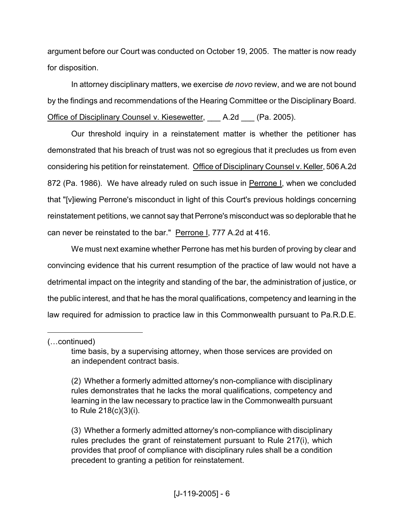argument before our Court was conducted on October 19, 2005. The matter is now ready for disposition.

In attorney disciplinary matters, we exercise *de novo* review, and we are not bound by the findings and recommendations of the Hearing Committee or the Disciplinary Board. Office of Disciplinary Counsel v. Kiesewetter, A.2d (Pa. 2005).

Our threshold inquiry in a reinstatement matter is whether the petitioner has demonstrated that his breach of trust was not so egregious that it precludes us from even considering his petition for reinstatement. Office of Disciplinary Counsel v. Keller, 506 A.2d 872 (Pa. 1986). We have already ruled on such issue in Perrone I, when we concluded that "[v]iewing Perrone's misconduct in light of this Court's previous holdings concerning reinstatement petitions, we cannot say that Perrone's misconduct was so deplorable that he can never be reinstated to the bar." Perrone I, 777 A.2d at 416.

We must next examine whether Perrone has met his burden of proving by clear and convincing evidence that his current resumption of the practice of law would not have a detrimental impact on the integrity and standing of the bar, the administration of justice, or the public interest, and that he has the moral qualifications, competency and learning in the law required for admission to practice law in this Commonwealth pursuant to Pa.R.D.E.

<sup>(…</sup>continued)

time basis, by a supervising attorney, when those services are provided on an independent contract basis.

<sup>(2)</sup> Whether a formerly admitted attorney's non-compliance with disciplinary rules demonstrates that he lacks the moral qualifications, competency and learning in the law necessary to practice law in the Commonwealth pursuant to Rule 218(c)(3)(i).

<sup>(3)</sup> Whether a formerly admitted attorney's non-compliance with disciplinary rules precludes the grant of reinstatement pursuant to Rule 217(i), which provides that proof of compliance with disciplinary rules shall be a condition precedent to granting a petition for reinstatement.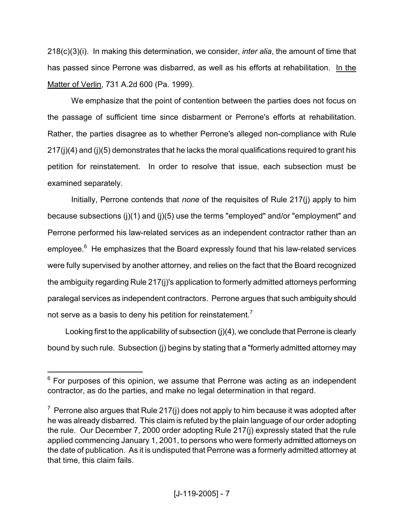218(c)(3)(i). In making this determination, we consider, *inter alia*, the amount of time that has passed since Perrone was disbarred, as well as his efforts at rehabilitation. In the Matter of Verlin, 731 A.2d 600 (Pa. 1999).

We emphasize that the point of contention between the parties does not focus on the passage of sufficient time since disbarment or Perrone's efforts at rehabilitation. Rather, the parties disagree as to whether Perrone's alleged non-compliance with Rule 217(j)(4) and (j)(5) demonstrates that he lacks the moral qualifications required to grant his petition for reinstatement. In order to resolve that issue, each subsection must be examined separately.

Initially, Perrone contends that *none* of the requisites of Rule 217(j) apply to him because subsections (j)(1) and (j)(5) use the terms "employed" and/or "employment" and Perrone performed his law-related services as an independent contractor rather than an employee. $6$  He emphasizes that the Board expressly found that his law-related services were fully supervised by another attorney, and relies on the fact that the Board recognized the ambiguity regarding Rule 217(j)'s application to formerly admitted attorneys performing paralegal services as independent contractors. Perrone argues that such ambiguity should not serve as a basis to deny his petition for reinstatement.<sup>7</sup>

Looking first to the applicability of subsection (j)(4), we conclude that Perrone is clearly bound by such rule. Subsection (j) begins by stating that a "formerly admitted attorney may

 $6$  For purposes of this opinion, we assume that Perrone was acting as an independent contractor, as do the parties, and make no legal determination in that regard.

 $7$  Perrone also argues that Rule 217(j) does not apply to him because it was adopted after he was already disbarred. This claim is refuted by the plain language of our order adopting the rule. Our December 7, 2000 order adopting Rule 217(j) expressly stated that the rule applied commencing January 1, 2001, to persons who were formerly admitted attorneys on the date of publication. As it is undisputed that Perrone was a formerly admitted attorney at that time, this claim fails.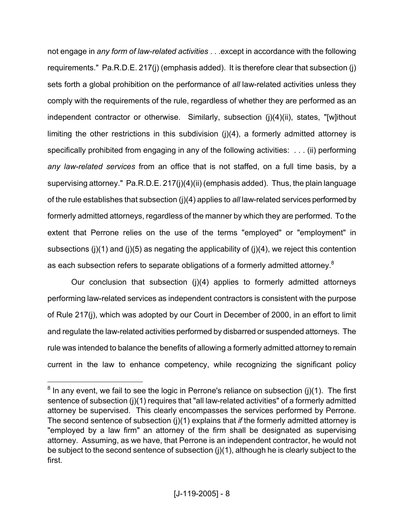not engage in *any form of law-related activities* . . .except in accordance with the following requirements." Pa.R.D.E. 217(j) (emphasis added). It is therefore clear that subsection (j) sets forth a global prohibition on the performance of *all* law-related activities unless they comply with the requirements of the rule, regardless of whether they are performed as an independent contractor or otherwise. Similarly, subsection (j)(4)(ii), states, "[w]ithout limiting the other restrictions in this subdivision (j)(4), a formerly admitted attorney is specifically prohibited from engaging in any of the following activities: . . . (ii) performing *any law-related services* from an office that is not staffed, on a full time basis, by a supervising attorney." Pa.R.D.E. 217(j)(4)(ii) (emphasis added). Thus, the plain language of the rule establishes that subsection (j)(4) applies to *all* law-related services performed by formerly admitted attorneys, regardless of the manner by which they are performed. To the extent that Perrone relies on the use of the terms "employed" or "employment" in subsections (j)(1) and (j)(5) as negating the applicability of (j)(4), we reject this contention as each subsection refers to separate obligations of a formerly admitted attorney.<sup>8</sup>

Our conclusion that subsection (j)(4) applies to formerly admitted attorneys performing law-related services as independent contractors is consistent with the purpose of Rule 217(j), which was adopted by our Court in December of 2000, in an effort to limit and regulate the law-related activities performed by disbarred or suspended attorneys. The rule was intended to balance the benefits of allowing a formerly admitted attorney to remain current in the law to enhance competency, while recognizing the significant policy

 $8$  In any event, we fail to see the logic in Perrone's reliance on subsection (j)(1). The first sentence of subsection (j)(1) requires that "all law-related activities" of a formerly admitted attorney be supervised. This clearly encompasses the services performed by Perrone. The second sentence of subsection (j)(1) explains that *if* the formerly admitted attorney is "employed by a law firm" an attorney of the firm shall be designated as supervising attorney. Assuming, as we have, that Perrone is an independent contractor, he would not be subject to the second sentence of subsection (j)(1), although he is clearly subject to the first.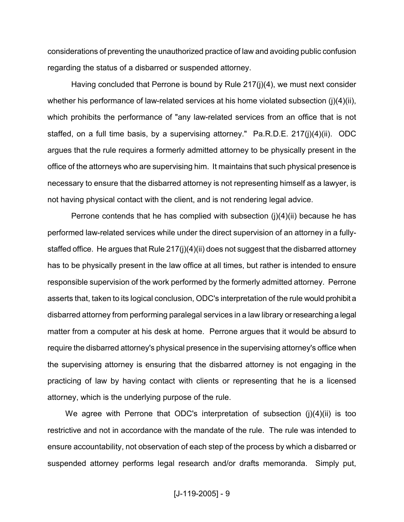considerations of preventing the unauthorized practice of law and avoiding public confusion regarding the status of a disbarred or suspended attorney.

Having concluded that Perrone is bound by Rule 217(j)(4), we must next consider whether his performance of law-related services at his home violated subsection (j)(4)(ii), which prohibits the performance of "any law-related services from an office that is not staffed, on a full time basis, by a supervising attorney." Pa.R.D.E. 217(j)(4)(ii). ODC argues that the rule requires a formerly admitted attorney to be physically present in the office of the attorneys who are supervising him. It maintains that such physical presence is necessary to ensure that the disbarred attorney is not representing himself as a lawyer, is not having physical contact with the client, and is not rendering legal advice.

Perrone contends that he has complied with subsection (j)(4)(ii) because he has performed law-related services while under the direct supervision of an attorney in a fullystaffed office. He argues that Rule 217(j)(4)(ii) does not suggest that the disbarred attorney has to be physically present in the law office at all times, but rather is intended to ensure responsible supervision of the work performed by the formerly admitted attorney. Perrone asserts that, taken to its logical conclusion, ODC's interpretation of the rule would prohibit a disbarred attorney from performing paralegal services in a law library or researching a legal matter from a computer at his desk at home. Perrone argues that it would be absurd to require the disbarred attorney's physical presence in the supervising attorney's office when the supervising attorney is ensuring that the disbarred attorney is not engaging in the practicing of law by having contact with clients or representing that he is a licensed attorney, which is the underlying purpose of the rule.

We agree with Perrone that ODC's interpretation of subsection (j)(4)(ii) is too restrictive and not in accordance with the mandate of the rule. The rule was intended to ensure accountability, not observation of each step of the process by which a disbarred or suspended attorney performs legal research and/or drafts memoranda. Simply put,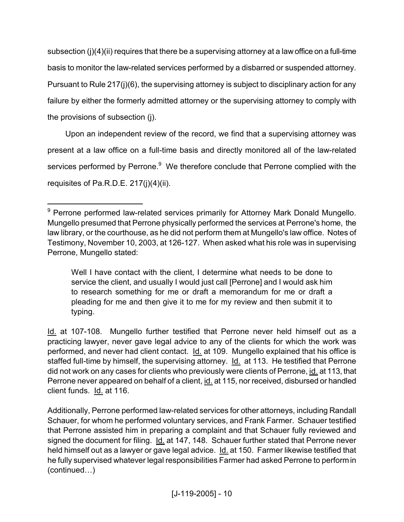subsection (j)(4)(ij) requires that there be a supervising attorney at a law office on a full-time basis to monitor the law-related services performed by a disbarred or suspended attorney. Pursuant to Rule 217(j)(6), the supervising attorney is subject to disciplinary action for any failure by either the formerly admitted attorney or the supervising attorney to comply with the provisions of subsection (j).

Upon an independent review of the record, we find that a supervising attorney was present at a law office on a full-time basis and directly monitored all of the law-related services performed by Perrone.<sup>9</sup> We therefore conclude that Perrone complied with the requisites of Pa.R.D.E. 217(j)(4)(ii).

Well I have contact with the client, I determine what needs to be done to service the client, and usually I would just call [Perrone] and I would ask him to research something for me or draft a memorandum for me or draft a pleading for me and then give it to me for my review and then submit it to typing.

Id. at 107-108. Mungello further testified that Perrone never held himself out as a practicing lawyer, never gave legal advice to any of the clients for which the work was performed, and never had client contact. Id. at 109. Mungello explained that his office is staffed full-time by himself, the supervising attorney. Id. at 113. He testified that Perrone did not work on any cases for clients who previously were clients of Perrone, id. at 113, that Perrone never appeared on behalf of a client, id. at 115, nor received, disbursed or handled client funds. Id. at 116.

Additionally, Perrone performed law-related services for other attorneys, including Randall Schauer, for whom he performed voluntary services, and Frank Farmer. Schauer testified that Perrone assisted him in preparing a complaint and that Schauer fully reviewed and signed the document for filing. Id. at 147, 148. Schauer further stated that Perrone never held himself out as a lawyer or gave legal advice. Id. at 150. Farmer likewise testified that he fully supervised whatever legal responsibilities Farmer had asked Perrone to performin (continued…)

<sup>&</sup>lt;sup>9</sup> Perrone performed law-related services primarily for Attorney Mark Donald Mungello. Mungello presumed that Perrone physically performed the services at Perrone's home, the law library, or the courthouse, as he did not perform them at Mungello's law office. Notes of Testimony, November 10, 2003, at 126-127. When asked what his role was in supervising Perrone, Mungello stated: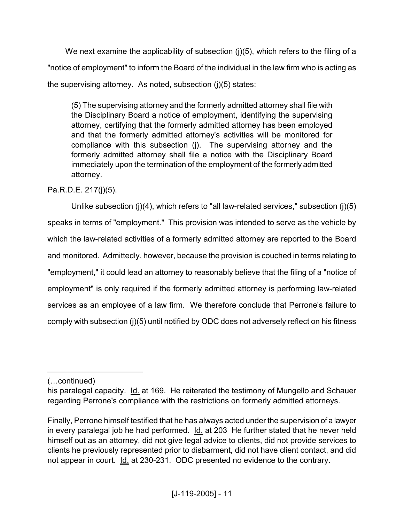We next examine the applicability of subsection (i)(5), which refers to the filing of a "notice of employment" to inform the Board of the individual in the law firm who is acting as the supervising attorney. As noted, subsection (j)(5) states:

(5) The supervising attorney and the formerly admitted attorney shall file with the Disciplinary Board a notice of employment, identifying the supervising attorney, certifying that the formerly admitted attorney has been employed and that the formerly admitted attorney's activities will be monitored for compliance with this subsection (j). The supervising attorney and the formerly admitted attorney shall file a notice with the Disciplinary Board immediately upon the termination of the employment of the formerly admitted attorney.

Pa.R.D.E. 217(j)(5).

Unlike subsection (j)(4), which refers to "all law-related services," subsection (j)(5) speaks in terms of "employment." This provision was intended to serve as the vehicle by which the law-related activities of a formerly admitted attorney are reported to the Board and monitored. Admittedly, however, because the provision is couched in terms relating to "employment," it could lead an attorney to reasonably believe that the filing of a "notice of employment" is only required if the formerly admitted attorney is performing law-related services as an employee of a law firm. We therefore conclude that Perrone's failure to comply with subsection (j)(5) until notified by ODC does not adversely reflect on his fitness

(…continued)

his paralegal capacity. Id. at 169. He reiterated the testimony of Mungello and Schauer regarding Perrone's compliance with the restrictions on formerly admitted attorneys.

Finally, Perrone himself testified that he has always acted under the supervision of a lawyer in every paralegal job he had performed.  $Id.$  at 203 He further stated that he never held himself out as an attorney, did not give legal advice to clients, did not provide services to clients he previously represented prior to disbarment, did not have client contact, and did not appear in court. Id. at 230-231. ODC presented no evidence to the contrary.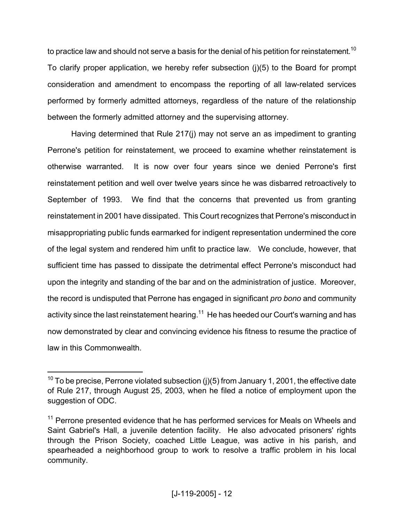to practice law and should not serve a basis for the denial of his petition for reinstatement.<sup>10</sup> To clarify proper application, we hereby refer subsection (j)(5) to the Board for prompt consideration and amendment to encompass the reporting of all law-related services performed by formerly admitted attorneys, regardless of the nature of the relationship between the formerly admitted attorney and the supervising attorney.

Having determined that Rule 217(j) may not serve an as impediment to granting Perrone's petition for reinstatement, we proceed to examine whether reinstatement is otherwise warranted. It is now over four years since we denied Perrone's first reinstatement petition and well over twelve years since he was disbarred retroactively to September of 1993. We find that the concerns that prevented us from granting reinstatement in 2001 have dissipated. This Court recognizes that Perrone's misconduct in misappropriating public funds earmarked for indigent representation undermined the core of the legal system and rendered him unfit to practice law. We conclude, however, that sufficient time has passed to dissipate the detrimental effect Perrone's misconduct had upon the integrity and standing of the bar and on the administration of justice. Moreover, the record is undisputed that Perrone has engaged in significant *pro bono* and community activity since the last reinstatement hearing.<sup>11</sup> He has heeded our Court's warning and has now demonstrated by clear and convincing evidence his fitness to resume the practice of law in this Commonwealth.

 $10$  To be precise, Perrone violated subsection (j)(5) from January 1, 2001, the effective date of Rule 217, through August 25, 2003, when he filed a notice of employment upon the suggestion of ODC.

 $11$  Perrone presented evidence that he has performed services for Meals on Wheels and Saint Gabriel's Hall, a juvenile detention facility. He also advocated prisoners' rights through the Prison Society, coached Little League, was active in his parish, and spearheaded a neighborhood group to work to resolve a traffic problem in his local community.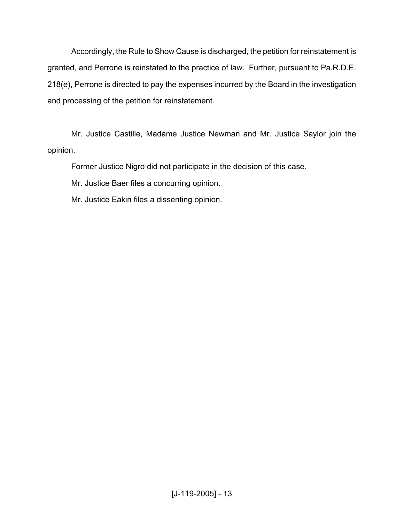Accordingly, the Rule to Show Cause is discharged, the petition for reinstatement is granted, and Perrone is reinstated to the practice of law. Further, pursuant to Pa.R.D.E. 218(e), Perrone is directed to pay the expenses incurred by the Board in the investigation and processing of the petition for reinstatement.

Mr. Justice Castille, Madame Justice Newman and Mr. Justice Saylor join the opinion.

Former Justice Nigro did not participate in the decision of this case.

Mr. Justice Baer files a concurring opinion.

Mr. Justice Eakin files a dissenting opinion.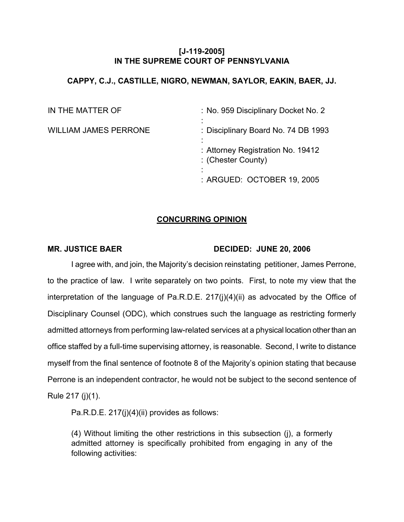## **[J-119-2005] IN THE SUPREME COURT OF PENNSYLVANIA**

## **CAPPY, C.J., CASTILLE, NIGRO, NEWMAN, SAYLOR, EAKIN, BAER, JJ.**

| IN THE MATTER OF             | : No. 959 Disciplinary Docket No. 2                     |
|------------------------------|---------------------------------------------------------|
| <b>WILLIAM JAMES PERRONE</b> | : Disciplinary Board No. 74 DB 1993                     |
|                              | : Attorney Registration No. 19412<br>: (Chester County) |
|                              | : ARGUED: OCTOBER 19, 2005                              |

# **CONCURRING OPINION**

### **MR. JUSTICE BAER DECIDED: JUNE 20, 2006**

I agree with, and join, the Majority's decision reinstating petitioner, James Perrone, to the practice of law. I write separately on two points. First, to note my view that the interpretation of the language of Pa.R.D.E. 217(j)(4)(ii) as advocated by the Office of Disciplinary Counsel (ODC), which construes such the language as restricting formerly admitted attorneys from performing law-related services at a physical location other than an office staffed by a full-time supervising attorney, is reasonable. Second, I write to distance myself from the final sentence of footnote 8 of the Majority's opinion stating that because Perrone is an independent contractor, he would not be subject to the second sentence of Rule 217 (j)(1).

Pa.R.D.E. 217(j)(4)(ii) provides as follows:

(4) Without limiting the other restrictions in this subsection (j), a formerly admitted attorney is specifically prohibited from engaging in any of the following activities: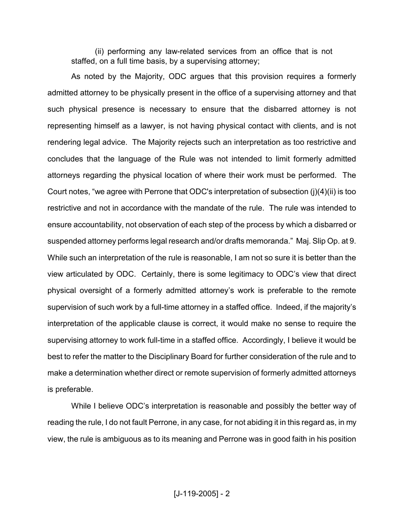(ii) performing any law-related services from an office that is not staffed, on a full time basis, by a supervising attorney;

As noted by the Majority, ODC argues that this provision requires a formerly admitted attorney to be physically present in the office of a supervising attorney and that such physical presence is necessary to ensure that the disbarred attorney is not representing himself as a lawyer, is not having physical contact with clients, and is not rendering legal advice. The Majority rejects such an interpretation as too restrictive and concludes that the language of the Rule was not intended to limit formerly admitted attorneys regarding the physical location of where their work must be performed. The Court notes, "we agree with Perrone that ODC's interpretation of subsection (j)(4)(ii) is too restrictive and not in accordance with the mandate of the rule. The rule was intended to ensure accountability, not observation of each step of the process by which a disbarred or suspended attorney performs legal research and/or drafts memoranda." Maj. Slip Op. at 9. While such an interpretation of the rule is reasonable, I am not so sure it is better than the view articulated by ODC. Certainly, there is some legitimacy to ODC's view that direct physical oversight of a formerly admitted attorney's work is preferable to the remote supervision of such work by a full-time attorney in a staffed office. Indeed, if the majority's interpretation of the applicable clause is correct, it would make no sense to require the supervising attorney to work full-time in a staffed office. Accordingly, I believe it would be best to refer the matter to the Disciplinary Board for further consideration of the rule and to make a determination whether direct or remote supervision of formerly admitted attorneys is preferable.

While I believe ODC's interpretation is reasonable and possibly the better way of reading the rule, I do not fault Perrone, in any case, for not abiding it in this regard as, in my view, the rule is ambiguous as to its meaning and Perrone was in good faith in his position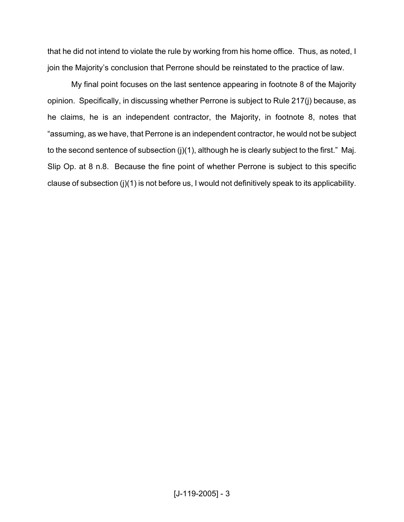that he did not intend to violate the rule by working from his home office. Thus, as noted, I join the Majority's conclusion that Perrone should be reinstated to the practice of law.

My final point focuses on the last sentence appearing in footnote 8 of the Majority opinion. Specifically, in discussing whether Perrone is subject to Rule 217(j) because, as he claims, he is an independent contractor, the Majority, in footnote 8, notes that "assuming, as we have, that Perrone is an independent contractor, he would not be subject to the second sentence of subsection (j)(1), although he is clearly subject to the first." Maj. Slip Op. at 8 n.8. Because the fine point of whether Perrone is subject to this specific clause of subsection (j)(1) is not before us, I would not definitively speak to its applicability.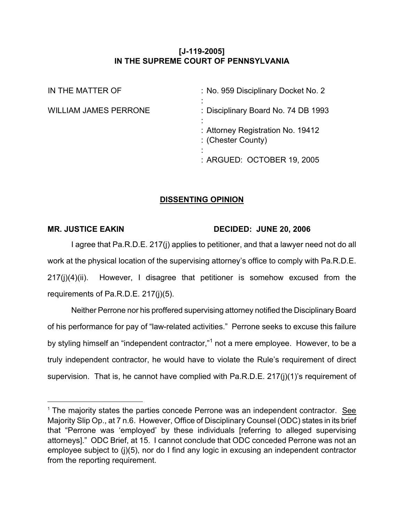# **[J-119-2005] IN THE SUPREME COURT OF PENNSYLVANIA**

| IN THE MATTER OF             | : No. 959 Disciplinary Docket No. 2                     |
|------------------------------|---------------------------------------------------------|
| <b>WILLIAM JAMES PERRONE</b> | : Disciplinary Board No. 74 DB 1993                     |
|                              | : Attorney Registration No. 19412<br>: (Chester County) |
|                              | : ARGUED: OCTOBER 19, 2005                              |

## **DISSENTING OPINION**

#### **MR. JUSTICE EAKIN DECIDED: JUNE 20, 2006**

I agree that Pa.R.D.E. 217(j) applies to petitioner, and that a lawyer need not do all work at the physical location of the supervising attorney's office to comply with Pa.R.D.E. 217(j)(4)(ii). However, I disagree that petitioner is somehow excused from the requirements of Pa.R.D.E. 217(j)(5).

Neither Perrone nor his proffered supervising attorney notified the Disciplinary Board of his performance for pay of "law-related activities." Perrone seeks to excuse this failure by styling himself an "independent contractor,"<sup>1</sup> not a mere employee. However, to be a truly independent contractor, he would have to violate the Rule's requirement of direct supervision. That is, he cannot have complied with Pa.R.D.E. 217(j)(1)'s requirement of

 $1$  The majority states the parties concede Perrone was an independent contractor. See Majority Slip Op., at 7 n.6. However, Office of Disciplinary Counsel (ODC) states in its brief that "Perrone was 'employed' by these individuals [referring to alleged supervising attorneys]." ODC Brief, at 15. I cannot conclude that ODC conceded Perrone was not an employee subject to (j)(5), nor do I find any logic in excusing an independent contractor from the reporting requirement.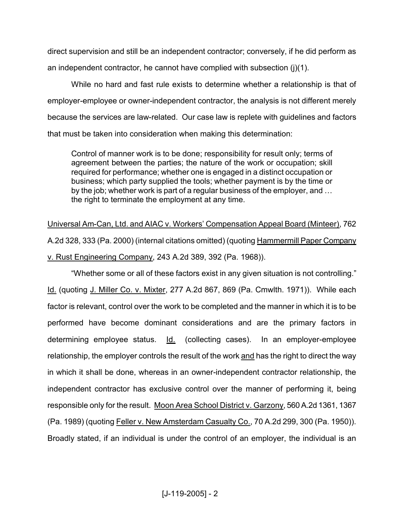direct supervision and still be an independent contractor; conversely, if he did perform as an independent contractor, he cannot have complied with subsection  $(j)(1)$ .

While no hard and fast rule exists to determine whether a relationship is that of employer-employee or owner-independent contractor, the analysis is not different merely because the services are law-related. Our case law is replete with guidelines and factors that must be taken into consideration when making this determination:

Control of manner work is to be done; responsibility for result only; terms of agreement between the parties; the nature of the work or occupation; skill required for performance; whether one is engaged in a distinct occupation or business; which party supplied the tools; whether payment is by the time or by the job; whether work is part of a regular business of the employer, and … the right to terminate the employment at any time.

Universal Am-Can, Ltd. and AIAC v. Workers' Compensation Appeal Board (Minteer), 762 A.2d 328, 333 (Pa. 2000) (internal citations omitted) (quoting Hammermill Paper Company v. Rust Engineering Company, 243 A.2d 389, 392 (Pa. 1968)).

"Whether some or all of these factors exist in any given situation is not controlling." Id. (quoting J. Miller Co. v. Mixter, 277 A.2d 867, 869 (Pa. Cmwlth. 1971)). While each factor is relevant, control over the work to be completed and the manner in which it is to be performed have become dominant considerations and are the primary factors in determining employee status. Id. (collecting cases). In an employer-employee relationship, the employer controls the result of the work and has the right to direct the way in which it shall be done, whereas in an owner-independent contractor relationship, the independent contractor has exclusive control over the manner of performing it, being responsible only for the result. Moon Area School District v. Garzony, 560 A.2d 1361, 1367 (Pa. 1989) (quoting Feller v. New Amsterdam Casualty Co., 70 A.2d 299, 300 (Pa. 1950)). Broadly stated, if an individual is under the control of an employer, the individual is an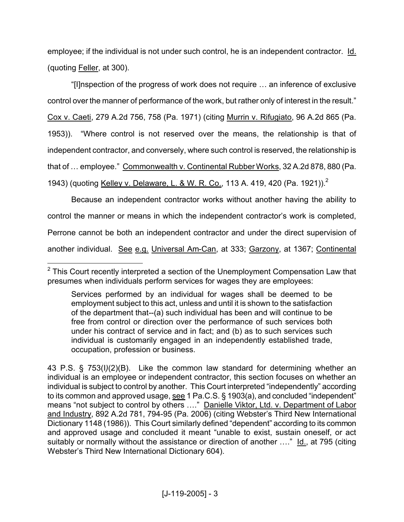employee; if the individual is not under such control, he is an independent contractor. Id. (quoting Feller, at 300).

"[I]nspection of the progress of work does not require … an inference of exclusive control over the manner of performance of the work, but rather only of interest in the result." Cox v. Caeti, 279 A.2d 756, 758 (Pa. 1971) (citing Murrin v. Rifugiato, 96 A.2d 865 (Pa. 1953)). "Where control is not reserved over the means, the relationship is that of independent contractor, and conversely, where such control is reserved, the relationship is that of … employee." Commonwealth v. Continental Rubber Works, 32 A.2d 878, 880 (Pa. 1943) (quoting Kelley v. Delaware, L. & W. R. Co., 113 A. 419, 420 (Pa. 1921)).<sup>2</sup>

Because an independent contractor works without another having the ability to control the manner or means in which the independent contractor's work is completed, Perrone cannot be both an independent contractor and under the direct supervision of another individual. See e.g. Universal Am-Can, at 333; Garzony, at 1367; Continental

 $2$  This Court recently interpreted a section of the Unemployment Compensation Law that presumes when individuals perform services for wages they are employees:

Services performed by an individual for wages shall be deemed to be employment subject to this act, unless and until it is shown to the satisfaction of the department that--(a) such individual has been and will continue to be free from control or direction over the performance of such services both under his contract of service and in fact; and (b) as to such services such individual is customarily engaged in an independently established trade, occupation, profession or business.

<sup>43</sup> P.S. § 753(I*)*(2)(B). Like the common law standard for determining whether an individual is an employee or independent contractor, this section focuses on whether an individual is subject to control by another. This Court interpreted "independently" according to its common and approved usage, see 1 Pa.C.S. § 1903(a), and concluded "independent" means "not subject to control by others …." Danielle Viktor, Ltd. v. Department of Labor and Industry, 892 A.2d 781, 794-95 (Pa. 2006) (citing Webster's Third New International Dictionary 1148 (1986)). This Court similarly defined "dependent" according to its common and approved usage and concluded it meant "unable to exist, sustain oneself, or act suitably or normally without the assistance or direction of another ...." Id., at 795 (citing Webster's Third New International Dictionary 604).